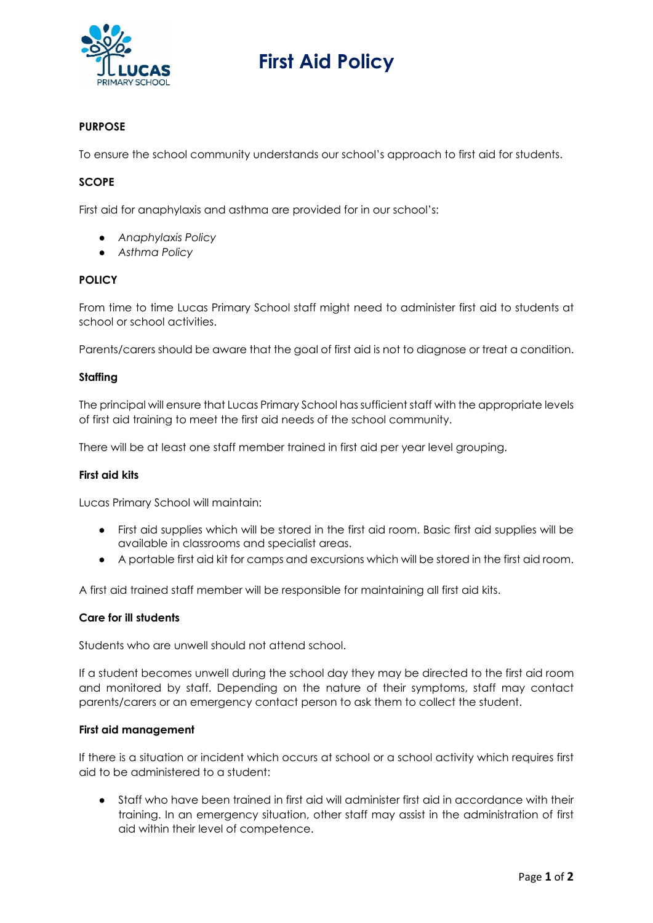

# **First Aid Policy**

### **PURPOSE**

To ensure the school community understands our school's approach to first aid for students.

#### **SCOPE**

First aid for anaphylaxis and asthma are provided for in our school's:

- *Anaphylaxis Policy*
- *Asthma Policy*

#### **POLICY**

From time to time Lucas Primary School staff might need to administer first aid to students at school or school activities.

Parents/carers should be aware that the goal of first aid is not to diagnose or treat a condition.

#### **Staffing**

The principal will ensure that Lucas Primary School has sufficient staff with the appropriate levels of first aid training to meet the first aid needs of the school community.

There will be at least one staff member trained in first aid per year level grouping.

#### **First aid kits**

Lucas Primary School will maintain:

- First aid supplies which will be stored in the first aid room. Basic first aid supplies will be available in classrooms and specialist areas.
- A portable first aid kit for camps and excursions which will be stored in the first aid room.

A first aid trained staff member will be responsible for maintaining all first aid kits.

#### **Care for ill students**

Students who are unwell should not attend school.

If a student becomes unwell during the school day they may be directed to the first aid room and monitored by staff. Depending on the nature of their symptoms, staff may contact parents/carers or an emergency contact person to ask them to collect the student.

#### **First aid management**

If there is a situation or incident which occurs at school or a school activity which requires first aid to be administered to a student:

Staff who have been trained in first aid will administer first aid in accordance with their training. In an emergency situation, other staff may assist in the administration of first aid within their level of competence.